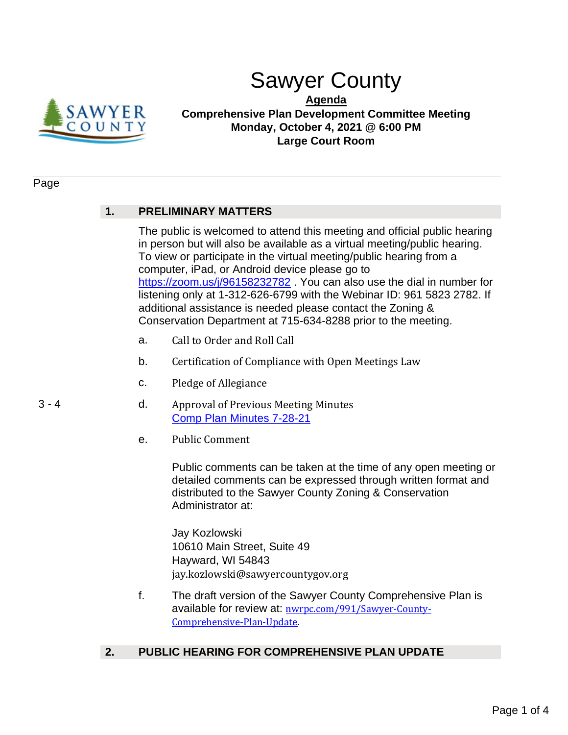

# Sawyer County

**Agenda**

**Comprehensive Plan Development Committee Meeting Monday, October 4, 2021 @ 6:00 PM Large Court Room**

#### Page

## **1. PRELIMINARY MATTERS**

The public is welcomed to attend this meeting and official public hearing in person but will also be available as a virtual meeting/public hearing. To view or participate in the virtual meeting/public hearing from a computer, iPad, or Android device please go to https://zoom.us/j/96158232782 . You can also use the dial in number for listening only at 1-312-626-6799 with the Webinar ID: 961 5823 2782. If additional assistance is needed please contact the Zoning & Conservation Department at 715-634-8288 prior to the meeting.

- a. Call to Order and Roll Call
- b. Certification of Compliance with Open Meetings Law
- c. Pledge of Allegiance
- 3 4 d. Approval of Previous Meeting Minutes [Comp Plan Minutes 7-28-21](#page-2-0)
	- e. Public Comment

Public comments can be taken at the time of any open meeting or detailed comments can be expressed through written format and distributed to the Sawyer County Zoning & Conservation Administrator at:

Jay Kozlowski 10610 Main Street, Suite 49 Hayward, WI 54843 jay.kozlowski@sawyercountygov.org

f. The draft version of the Sawyer County Comprehensive Plan is available for review at: [nwrpc.com/991/Sawyer-County-](https://www.nwrpc.com/991/Sawyer-County-Comprehensive-Plan-Update)[Comprehensive-Plan-Update](https://www.nwrpc.com/991/Sawyer-County-Comprehensive-Plan-Update).

### **2. PUBLIC HEARING FOR COMPREHENSIVE PLAN UPDATE**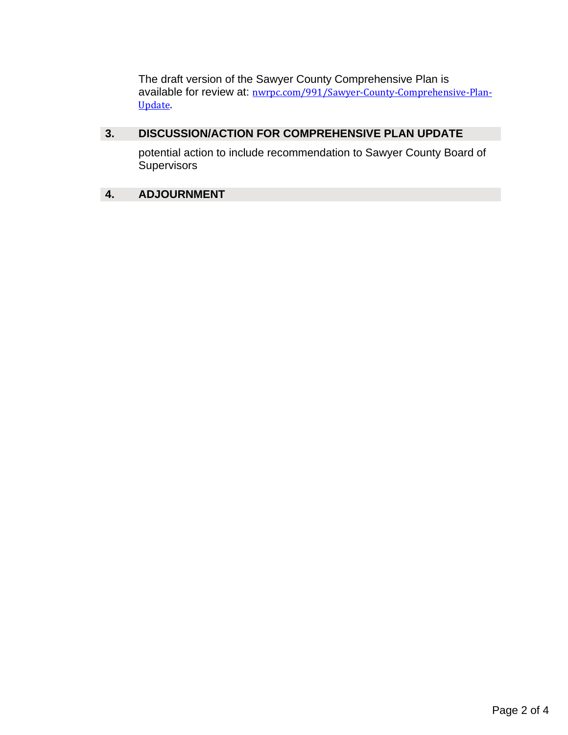The draft version of the Sawyer County Comprehensive Plan is available for review at: [nwrpc.com/991/Sawyer-County-Comprehensive-Plan-](https://www.nwrpc.com/991/Sawyer-County-Comprehensive-Plan-Update)[Update](https://www.nwrpc.com/991/Sawyer-County-Comprehensive-Plan-Update).

## **3. DISCUSSION/ACTION FOR COMPREHENSIVE PLAN UPDATE**

potential action to include recommendation to Sawyer County Board of **Supervisors** 

## **4. ADJOURNMENT**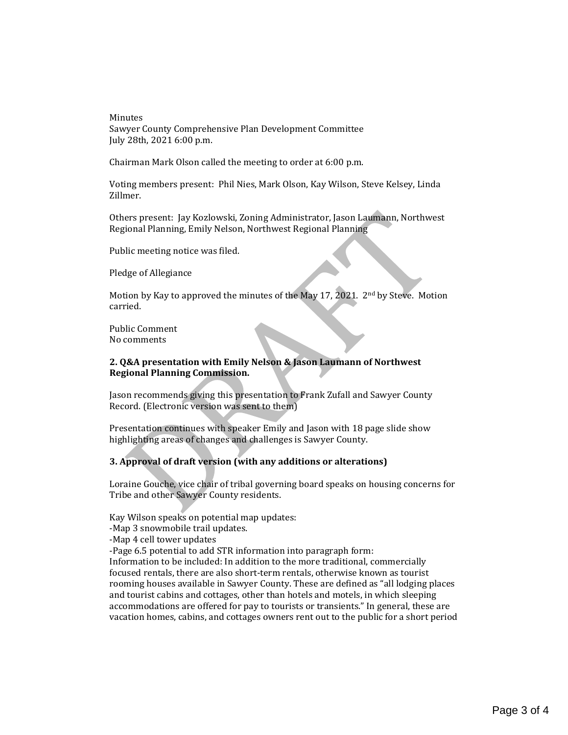<span id="page-2-0"></span>Minutes Sawyer County Comprehensive Plan Development Committee July 28th, 2021 6:00 p.m.

Chairman Mark Olson called the meeting to order at 6:00 p.m.

Voting members present: Phil Nies, Mark Olson, Kay Wilson, Steve Kelsey, Linda Zillmer.

Others present: Jay Kozlowski, Zoning Administrator, Jason Laumann, Northwest Regional Planning, Emily Nelson, Northwest Regional Planning

Public meeting notice was filed.

Pledge of Allegiance

Motion by Kay to approved the minutes of the May 17, 2021. 2<sup>nd</sup> by Steve. Motion carried.

Public Comment No comments

#### **2. Q&A presentation with Emily Nelson & Jason Laumann of Northwest Regional Planning Commission.**

Jason recommends giving this presentation to Frank Zufall and Sawyer County Record. (Electronic version was sent to them)

Presentation continues with speaker Emily and Jason with 18 page slide show highlighting areas of changes and challenges is Sawyer County.

#### **3. Approval of draft version (with any additions or alterations)**

Loraine Gouche, vice chair of tribal governing board speaks on housing concerns for Tribe and other Sawyer County residents.

Kay Wilson speaks on potential map updates:

- -Map 3 snowmobile trail updates.
- -Map 4 cell tower updates

-Page 6.5 potential to add STR information into paragraph form:

Information to be included: In addition to the more traditional, commercially focused rentals, there are also short-term rentals, otherwise known as tourist rooming houses available in Sawyer County. These are defined as "all lodging places and tourist cabins and cottages, other than hotels and motels, in which sleeping accommodations are offered for pay to tourists or transients." In general, these are vacation homes, cabins, and cottages owners rent out to the public for a short period